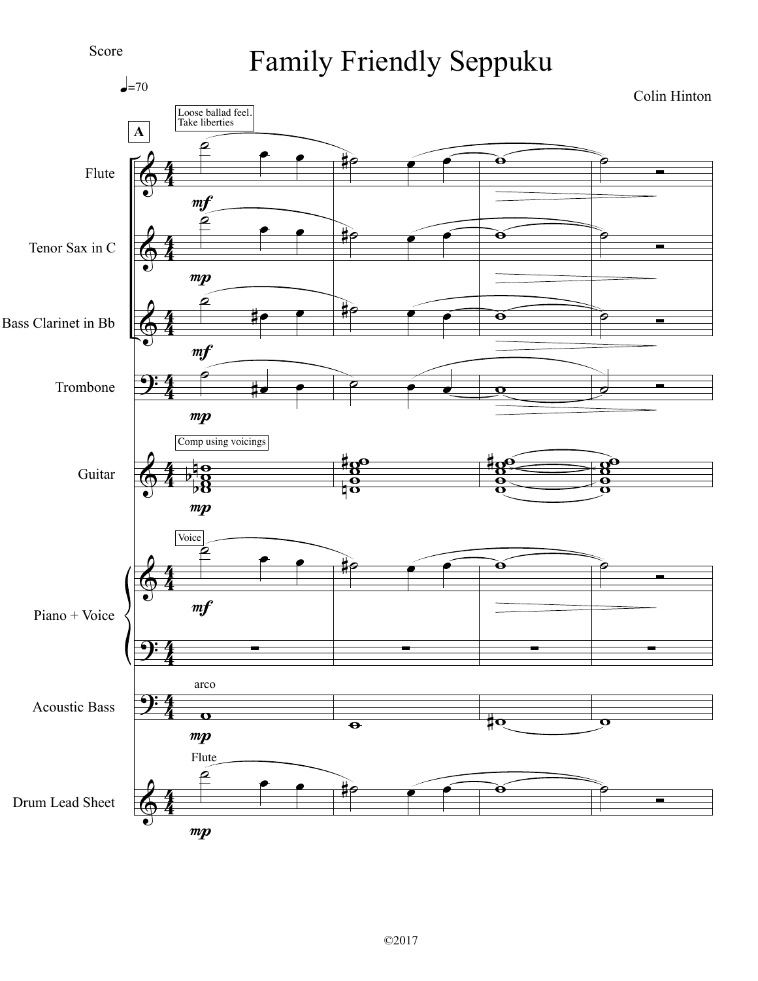Family Friendly Seppuku

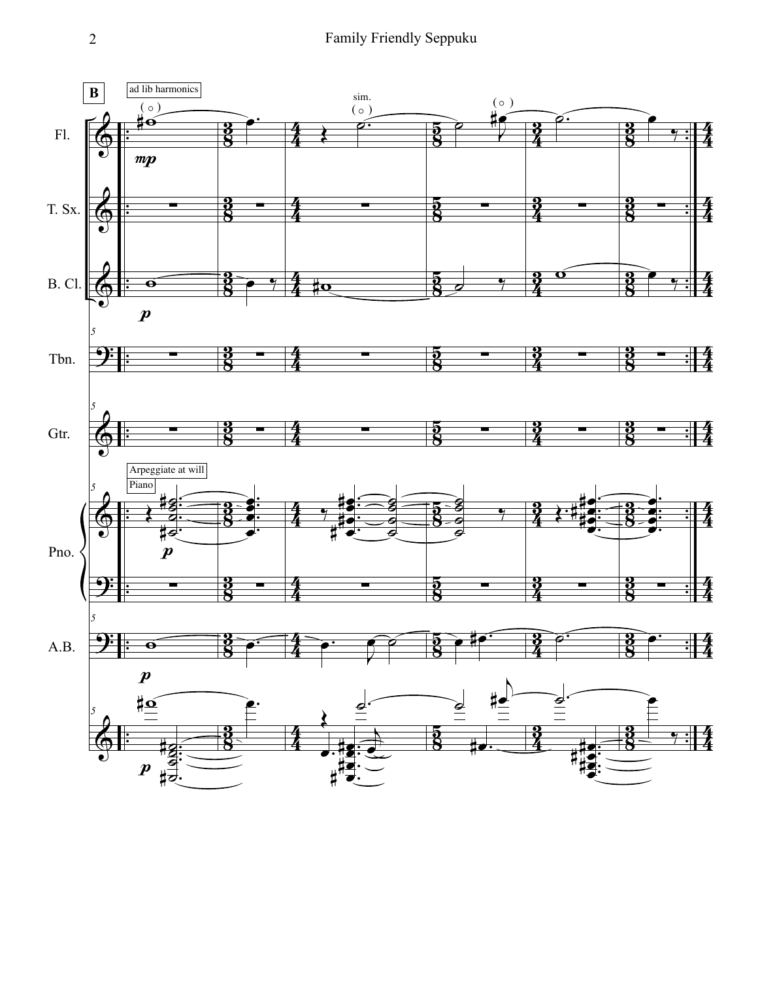

 $\overline{2}$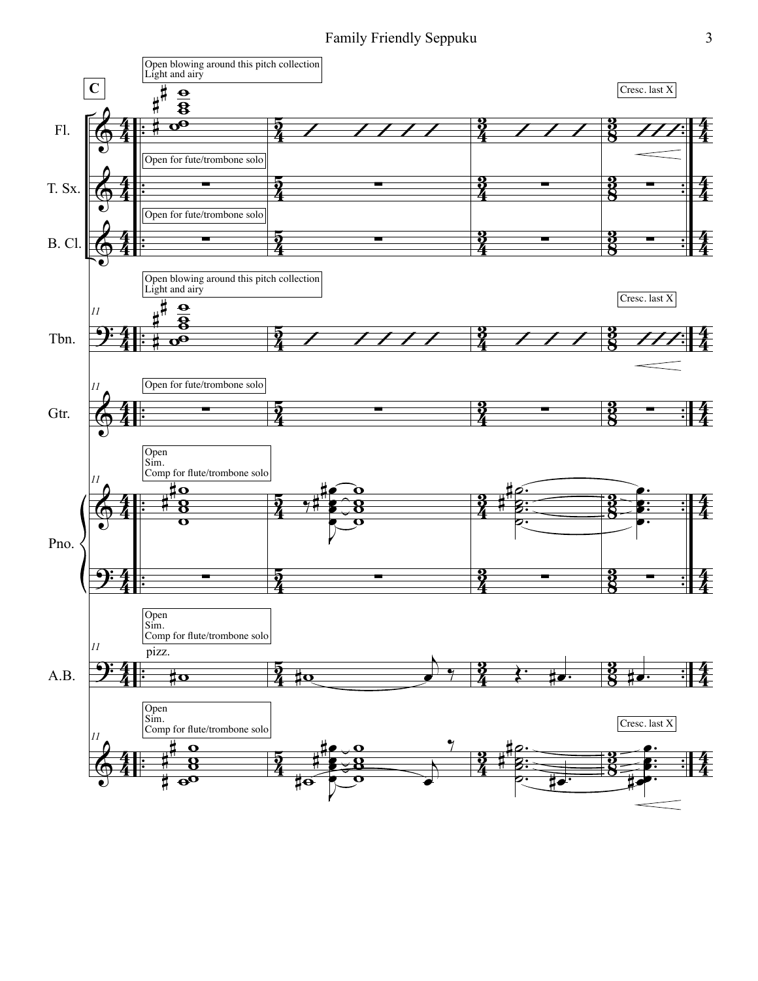Family Friendly Seppuku

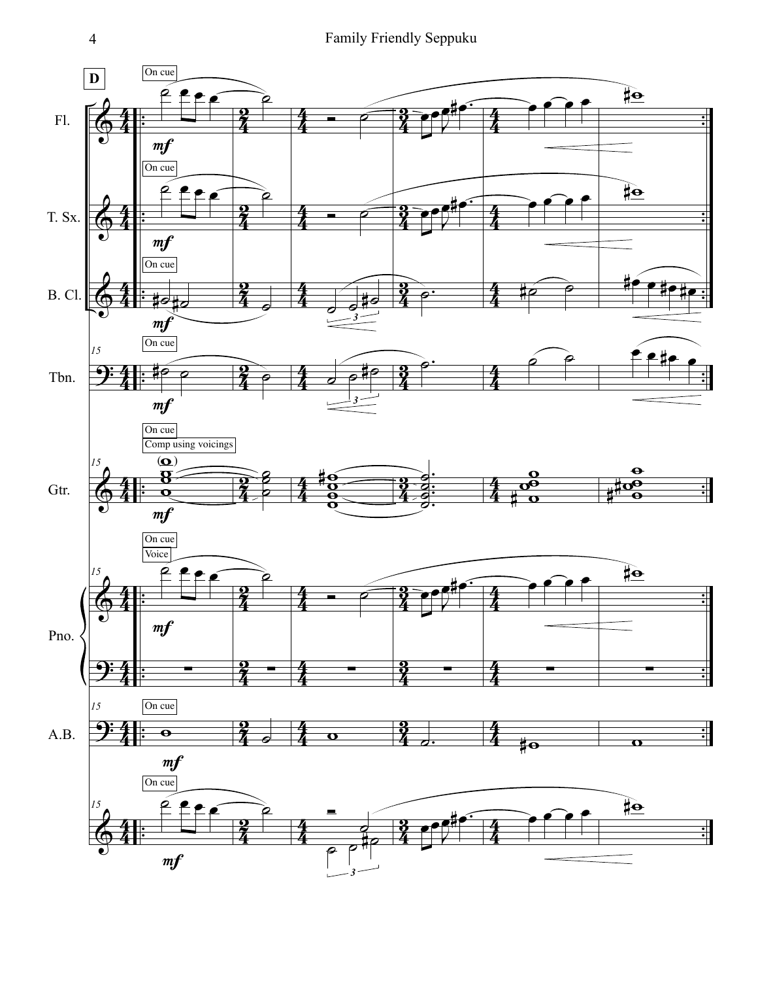4 Family Friendly Seppuku

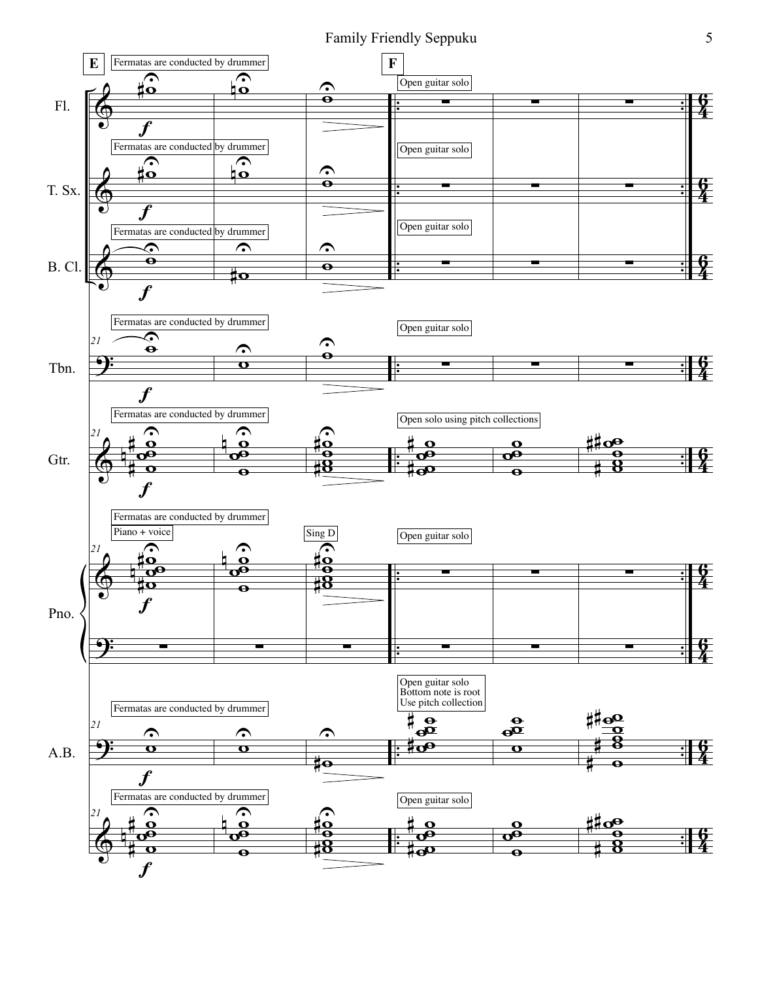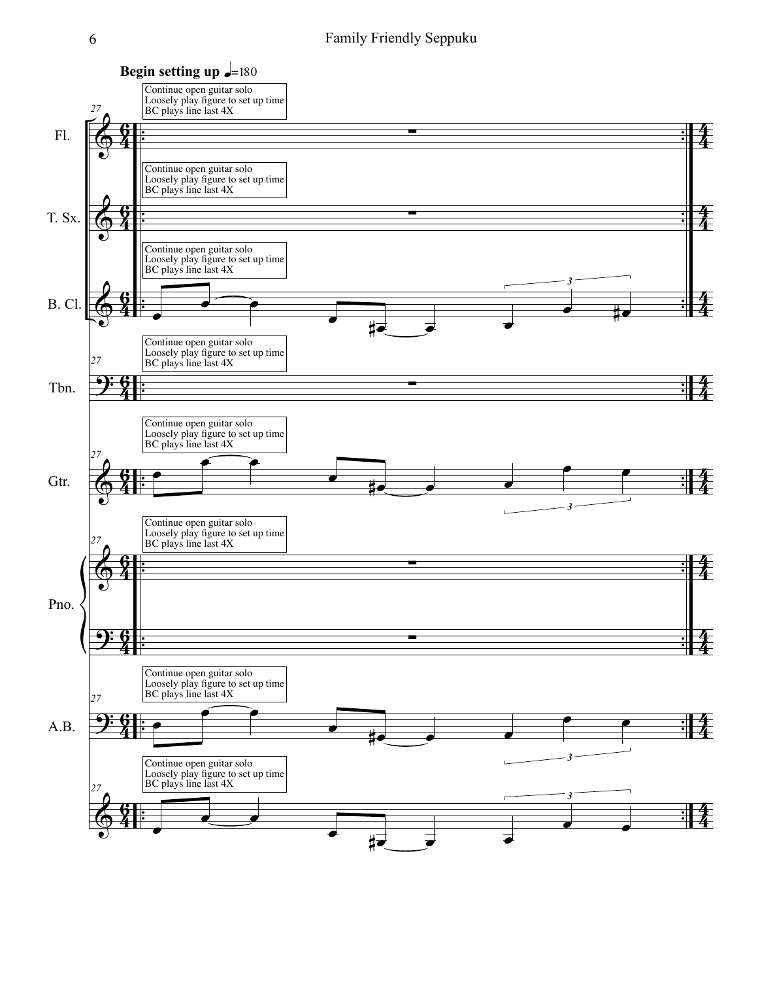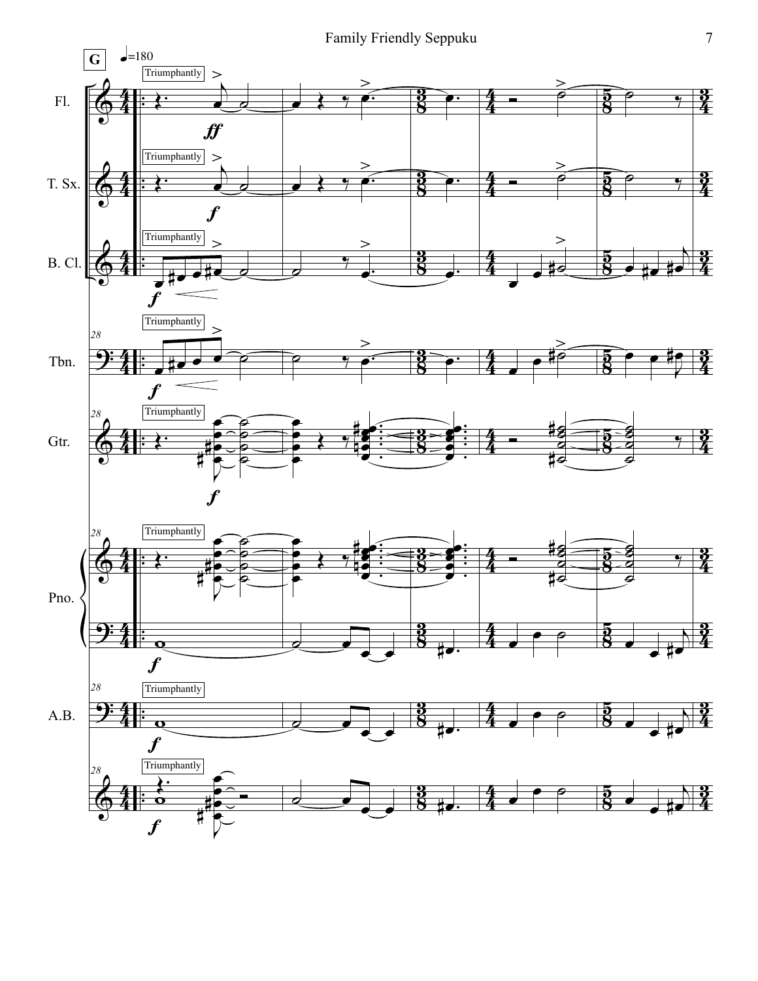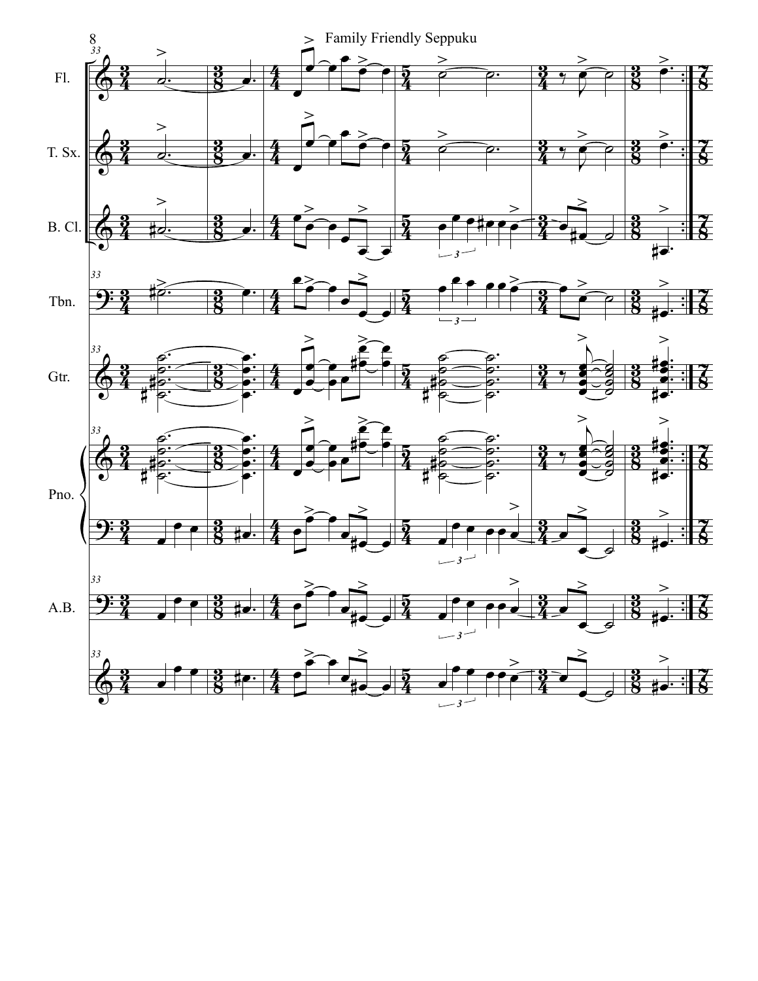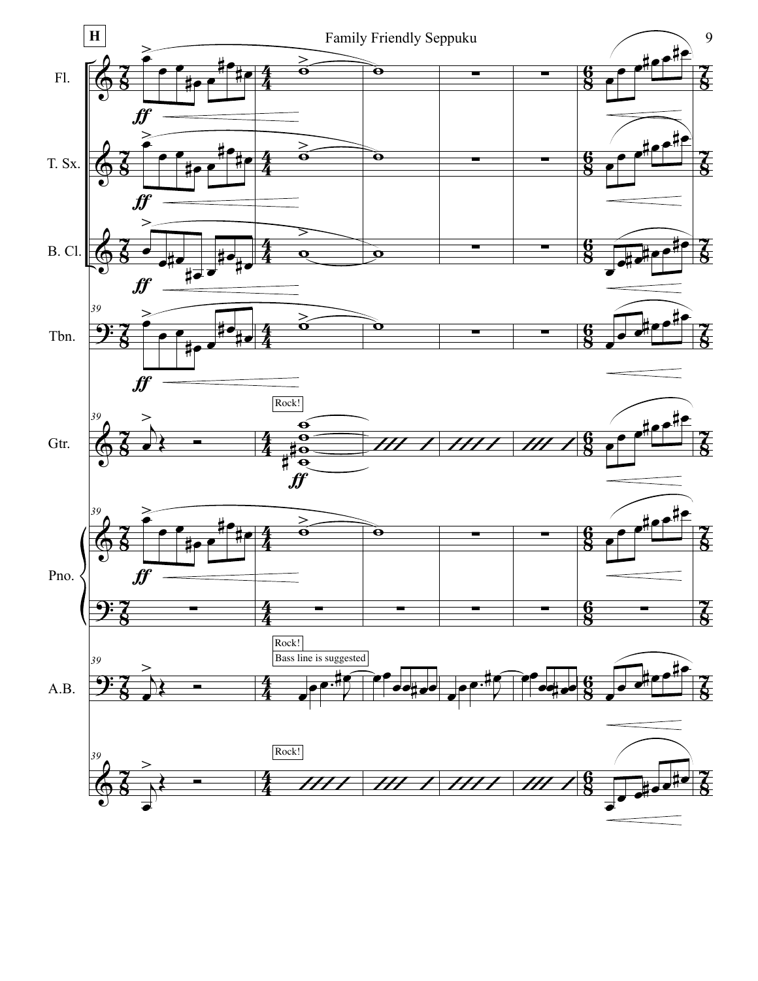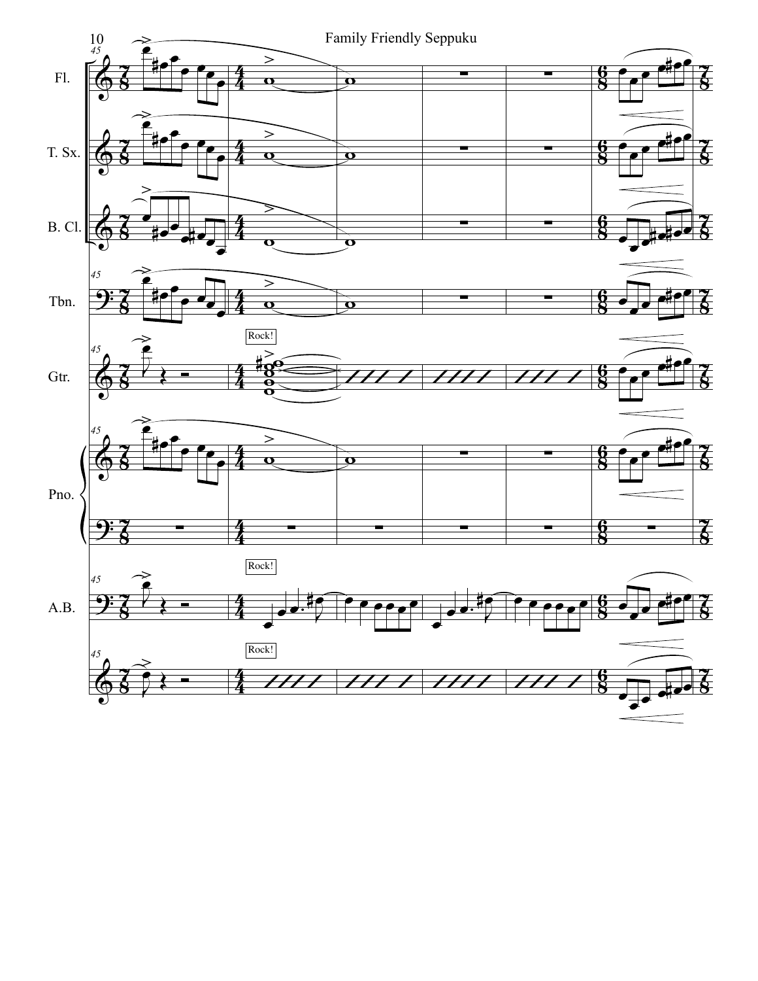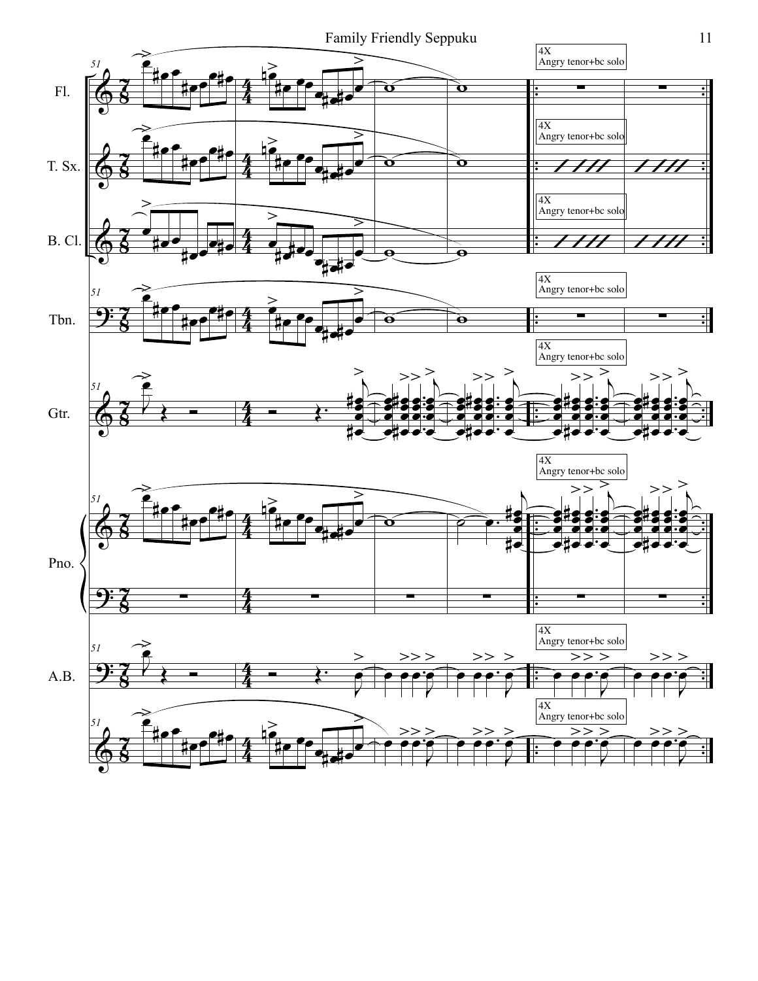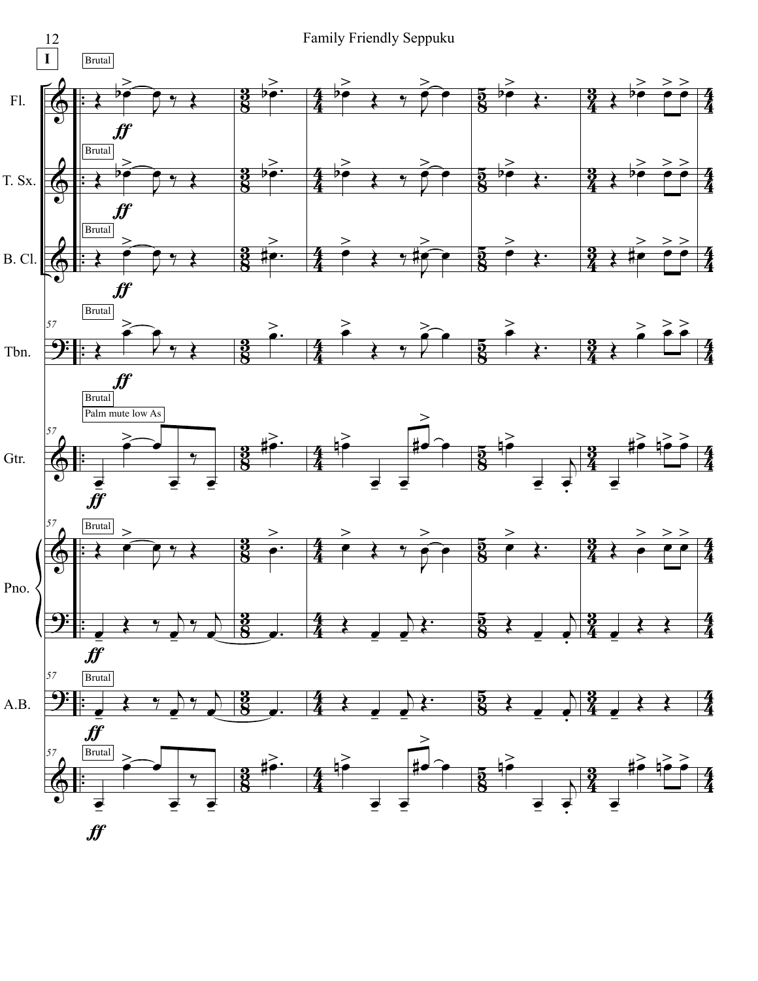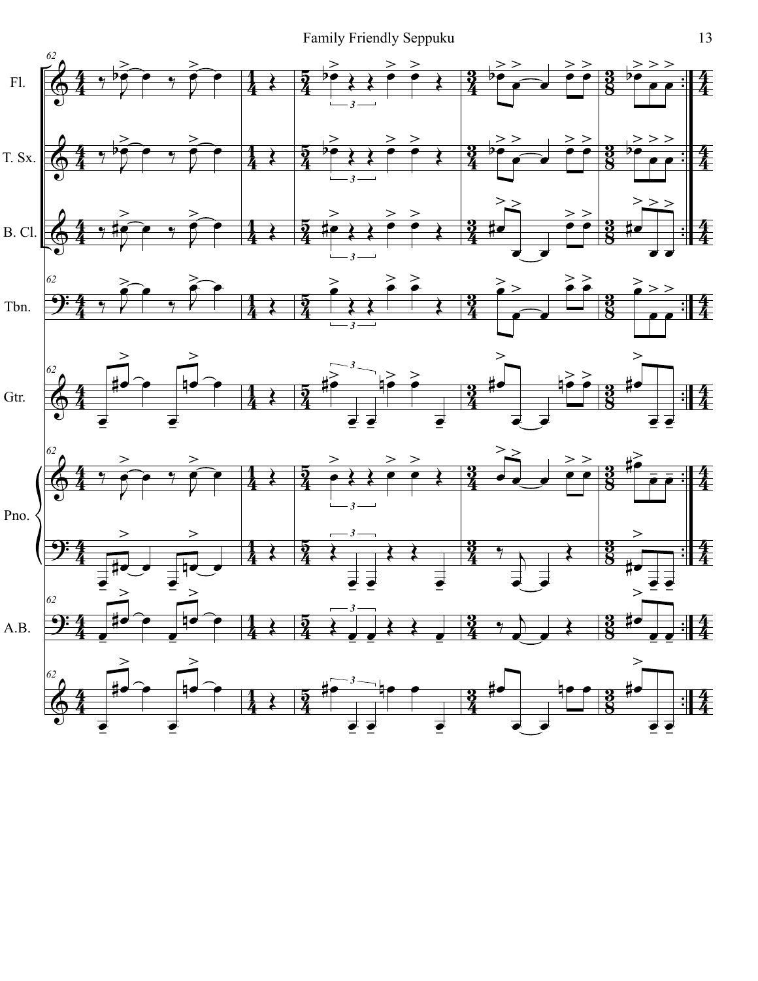Family Friendly Seppuku

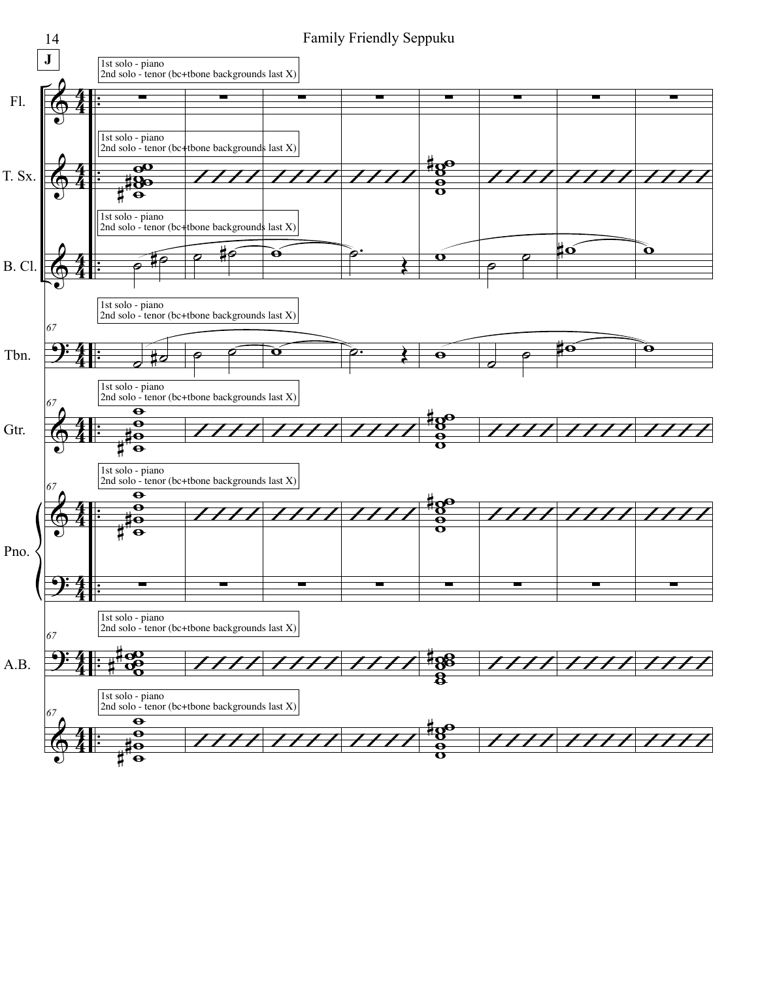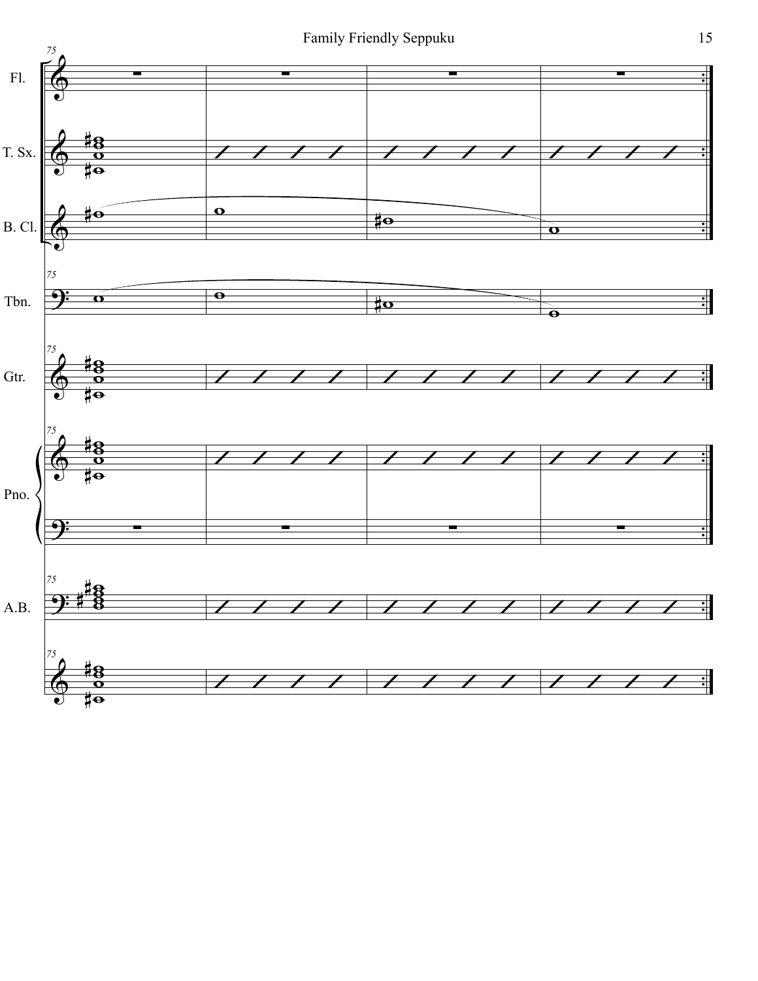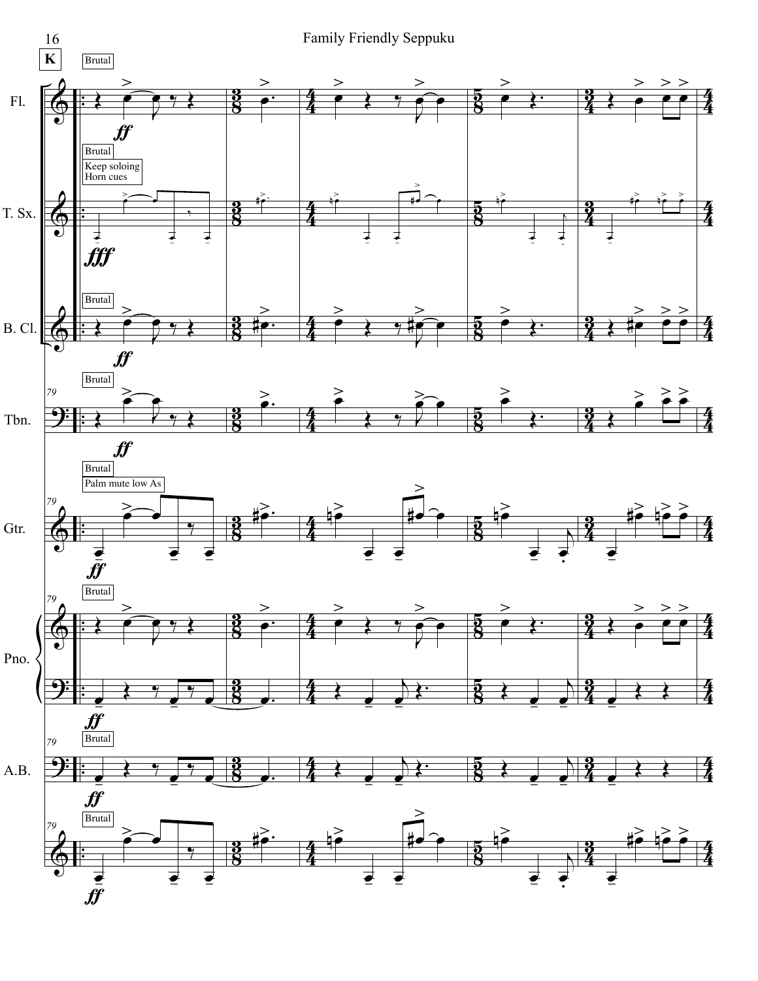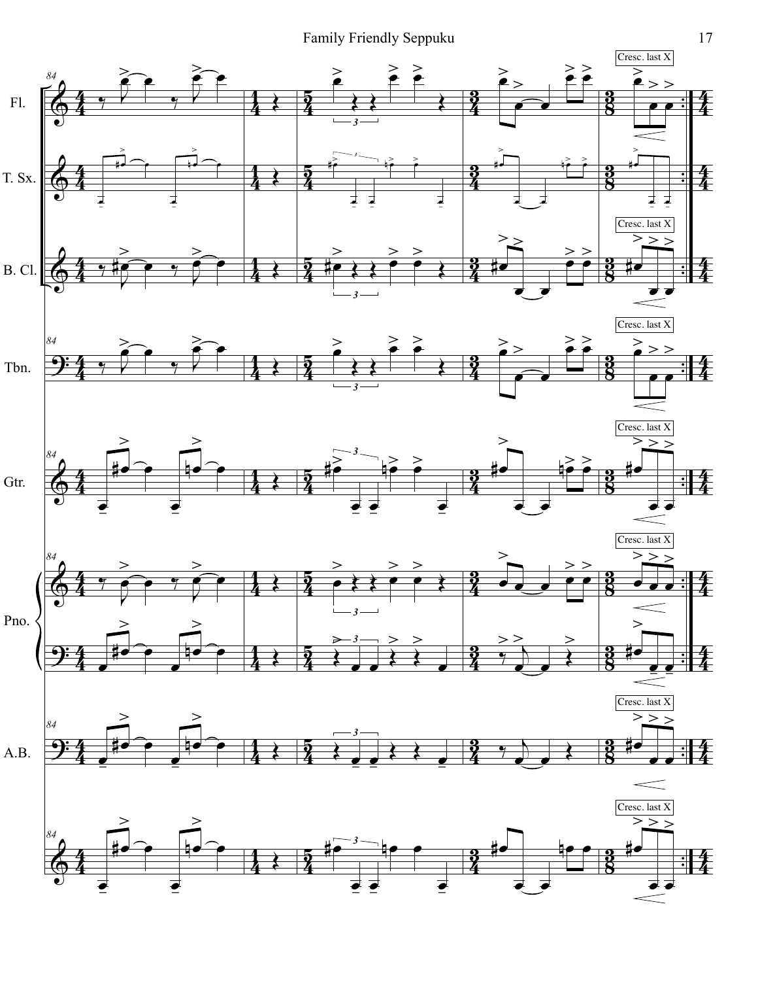Family Friendly Seppuku



17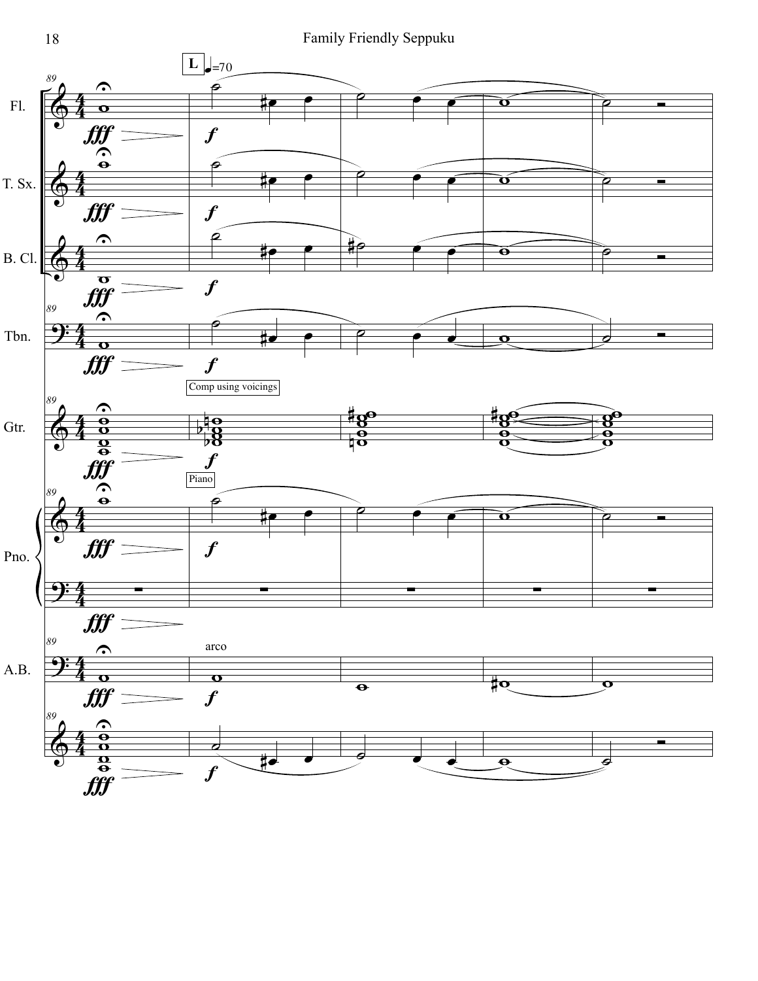18 Family Friendly Seppuku

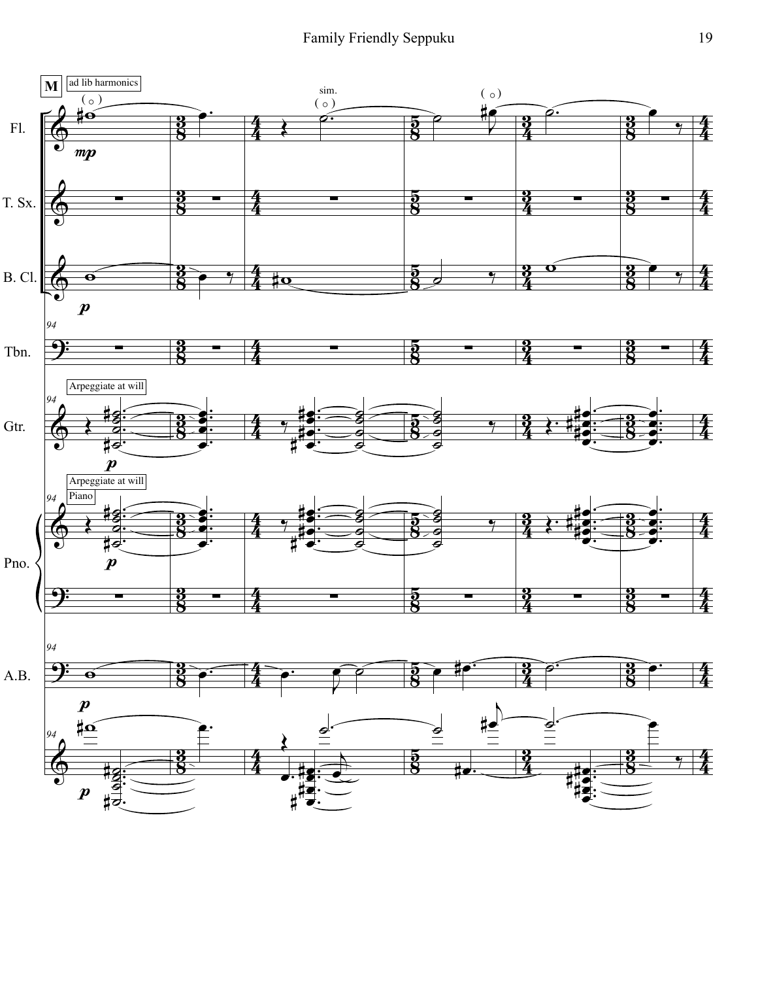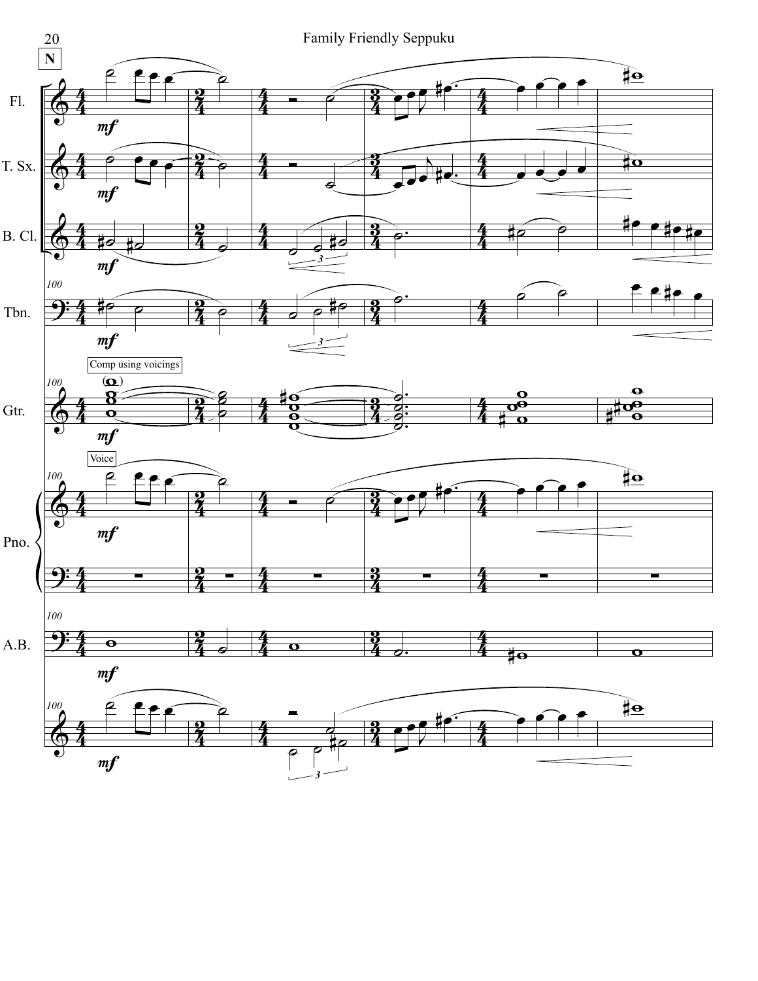